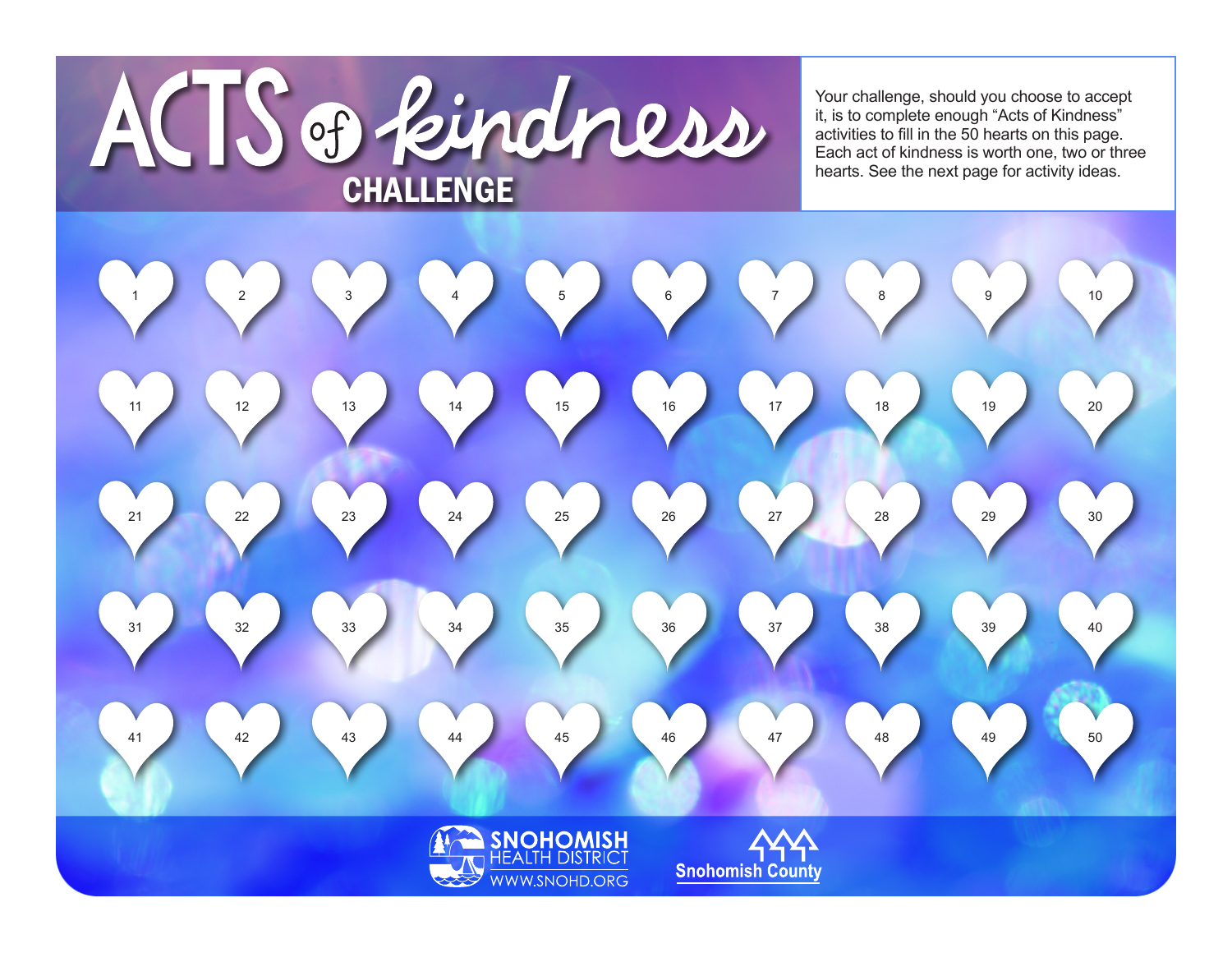

Your challenge, should you choose to accept it, is to complete enough "Acts of Kindness" activities to fill in the 50 hearts on this page. Each act of kindness is worth one, two or three<br>hearts. See the next page for activity ideas.